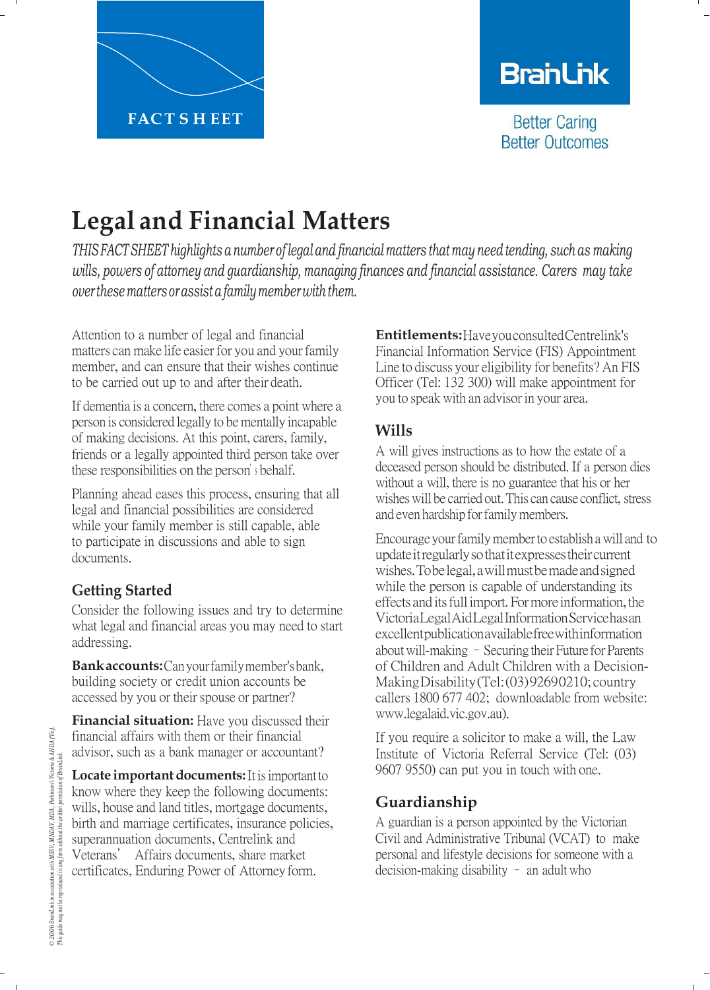

# **BranLink**

**Better Caring Better Outcomes** 

# **Legal and Financial Matters**

*THIS FACTSHEET highlights a number of legal and financial matters that may need tending, such as making wills, powers of attorney and guardianship, managing finances and financial assistance. Carers may take over these matters orassista family member with them.*

Attention to a number of legal and financial matters can make life easier for you and your family member, and can ensure that their wishes continue to be carried out up to and after their death.

If dementia is a concern, there comes a point where a person is considered legally to be mentally incapable of making decisions. At this point, carers, family, friends or a legally appointed third person take over these responsibilities on the person'<sup>s</sup> behalf.

Planning ahead eases this process, ensuring that all legal and financial possibilities are considered while your family member is still capable, able to participate in discussions and able to sign documents.

# **Getting Started**

Consider the following issues and try to determine what legal and financial areas you may need to start addressing.

**Bank accounts:** Can your family member'sbank, building society or credit union accounts be accessed by you or their spouse or partner?

**Financial situation:** Have you discussed their financial affairs with them or their financial advisor, such as a bank manager or accountant?

**Locate important documents:** It is important to know where they keep the following documents: wills, house and land titles, mortgage documents, birth and marriage certificates, insurance policies, superannuation documents, Centrelink and Veterans' Affairs documents, share market certificates, Enduring Power of Attorney form.

**Entitlements:** Have you consulted Centrelink's Financial Information Service (FIS) Appointment Line to discuss your eligibility for benefits? An FIS Officer (Tel: 132 300) will make appointment for you to speak with an advisor in your area.

## **Wills**

A will gives instructions as to how the estate of a deceased person should be distributed. If a person dies without a will, there is no guarantee that his or her wishes will be carried out. This can cause conflict, stress and even hardship for family members.

Encourage your family member to establish a will and to update itregularly sothat itexpresses their current wishes. Tobelegal, a will must bemade and signed while the person is capable of understanding its effects and itsfull import. For more information, the Victoria Legal Aid Legal Information Service has an excellent publication available free with information about will-making  $-$  Securing their Future for Parents of Children and Adult Children with a Decision-Making Disability (Tel: (03) 9269 0210; country callers 1800 677 402; downloadable from website: www.legalaid.vic.gov.au).

If you require a solicitor to make a will, the Law Institute of Victoria Referral Service (Tel: (03) 9607 9550) can put you in touch with one.

# **Guardianship**

A guardian is a person appointed by the Victorian Civil and Administrative Tribunal (VCAT) to make personal and lifestyle decisions for someone with a decision-making disability – an adult who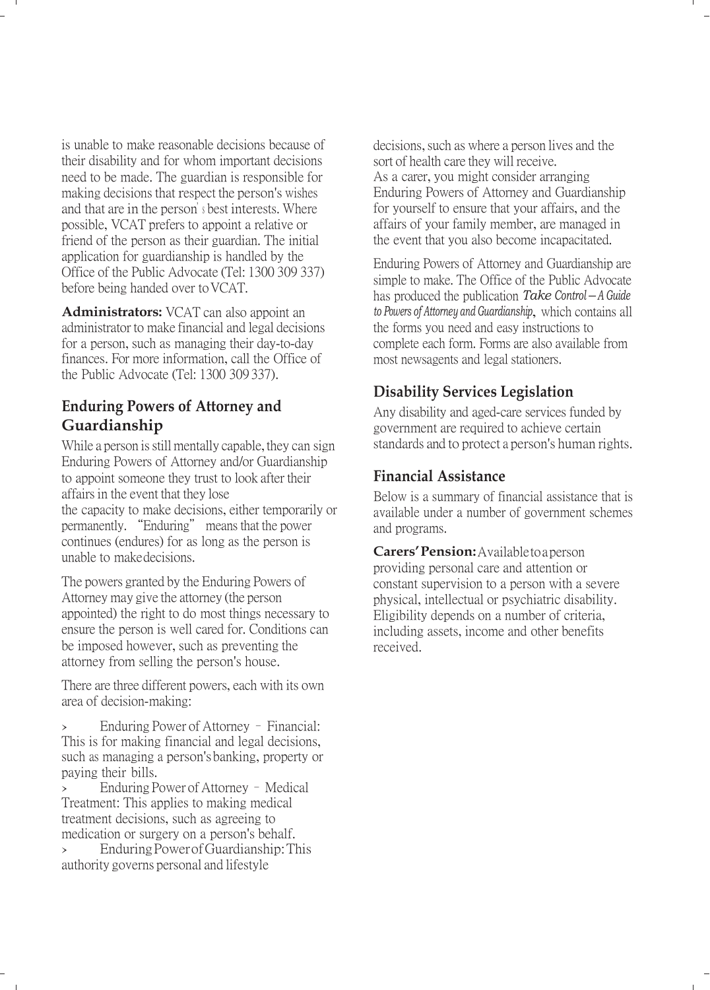is unable to make reasonable decisions because of their disability and for whom important decisions need to be made. The guardian is responsible for making decisions that respect the person's wishes and that are in the person'<sup>s</sup> best interests. Where possible, VCAT prefers to appoint a relative or friend of the person as their guardian. The initial application for guardianship is handled by the Office of the Public Advocate (Tel: 1300 309 337) before being handed over toVCAT.

**Administrators:** VCAT can also appoint an administrator to make financial and legal decisions for a person, such as managing their day-to-day finances. For more information, call the Office of the Public Advocate (Tel: 1300 309 337).

### **Enduring Powers of Attorney and Guardianship**

While a person is still mentally capable, they can sign Enduring Powers of Attorney and/or Guardianship to appoint someone they trust to look after their affairs in the event that they lose the capacity to make decisions, either temporarily or permanently. "Enduring" means that the power continues (endures) for as long as the person is unable to make decisions.

The powers granted by the Enduring Powers of Attorney may give the attorney (the person appointed) the right to do most things necessary to ensure the person is well cared for. Conditions can be imposed however, such as preventing the attorney from selling the person's house.

There are three different powers, each with its own area of decision-making:

› Enduring Power of Attorney – Financial: This is for making financial and legal decisions, such as managing a person'sbanking, property or paying their bills.

> Enduring Power of Attorney - Medical Treatment: This applies to making medical treatment decisions, such as agreeing to medication or surgery on a person's behalf.

> Enduring Power of Guardianship: This authority governs personal and lifestyle

decisions, such as where a person lives and the sort of health care they will receive. As a carer, you might consider arranging Enduring Powers of Attorney and Guardianship for yourself to ensure that your affairs, and the affairs of your family member, are managed in the event that you also become incapacitated.

Enduring Powers of Attorney and Guardianship are simple to make. The Office of the Public Advocate has produced the publication *Take Control – <sup>A</sup> Guide to Powers of Attorney and Guardianship*, which contains all the forms you need and easy instructions to complete each form. Forms are also available from most newsagents and legal stationers.

### **Disability Services Legislation**

Any disability and aged-care services funded by government are required to achieve certain standards and to protect a person's human rights.

#### **Financial Assistance**

Below is a summary of financial assistance that is available under a number of government schemes and programs.

**Carers'Pension:** Available toa person providing personal care and attention or constant supervision to a person with a severe physical, intellectual or psychiatric disability. Eligibility depends on a number of criteria, including assets, income and other benefits received.